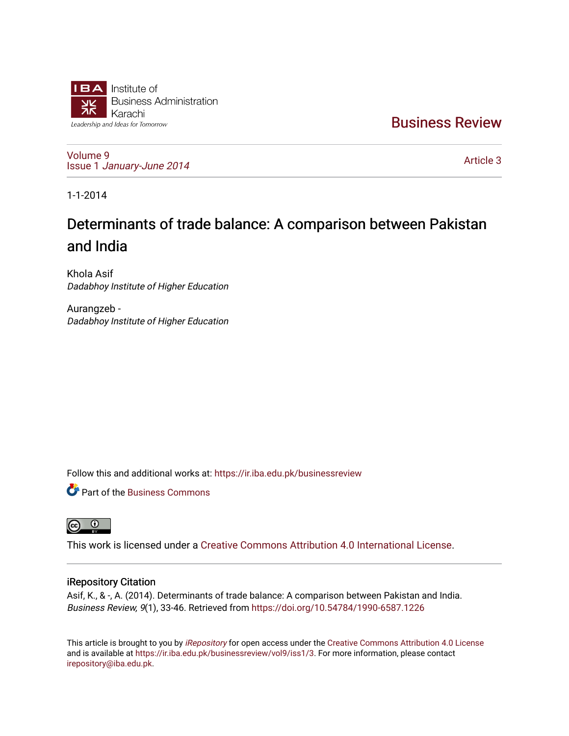

[Business Review](https://ir.iba.edu.pk/businessreview) 

[Volume 9](https://ir.iba.edu.pk/businessreview/vol9) Issue 1 [January-June 2014](https://ir.iba.edu.pk/businessreview/vol9/iss1) 

[Article 3](https://ir.iba.edu.pk/businessreview/vol9/iss1/3) 

1-1-2014

# Determinants of trade balance: A comparison between Pakistan and India

Khola Asif Dadabhoy Institute of Higher Education

Aurangzeb - Dadabhoy Institute of Higher Education

Follow this and additional works at: [https://ir.iba.edu.pk/businessreview](https://ir.iba.edu.pk/businessreview?utm_source=ir.iba.edu.pk%2Fbusinessreview%2Fvol9%2Fiss1%2F3&utm_medium=PDF&utm_campaign=PDFCoverPages) 

**P** Part of the [Business Commons](http://network.bepress.com/hgg/discipline/622?utm_source=ir.iba.edu.pk%2Fbusinessreview%2Fvol9%2Fiss1%2F3&utm_medium=PDF&utm_campaign=PDFCoverPages)



This work is licensed under a [Creative Commons Attribution 4.0 International License](https://creativecommons.org/licenses/by/4.0/).

# iRepository Citation

Asif, K., & -, A. (2014). Determinants of trade balance: A comparison between Pakistan and India. Business Review, 9(1), 33-46. Retrieved from <https://doi.org/10.54784/1990-6587.1226>

This article is brought to you by [iRepository](https://ir.iba.edu.pk/) for open access under the Creative Commons Attribution 4.0 License and is available at [https://ir.iba.edu.pk/businessreview/vol9/iss1/3.](https://ir.iba.edu.pk/businessreview/vol9/iss1/3) For more information, please contact [irepository@iba.edu.pk.](mailto:irepository@iba.edu.pk)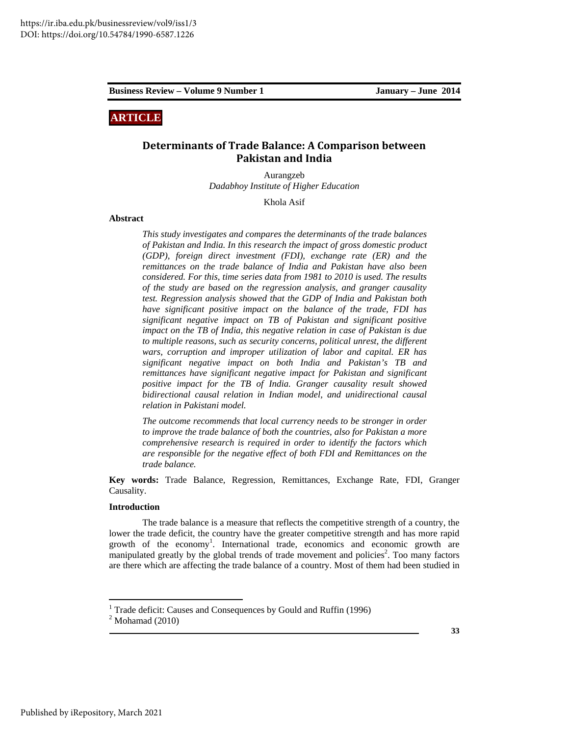# **ARTICLE**

# **Determinants of Trade Balance: A Comparison between Pakistan and India**

Aurangzeb *Dadabhoy Institute of Higher Education* 

Khola Asif

# **Abstract**

*This study investigates and compares the determinants of the trade balances of Pakistan and India. In this research the impact of gross domestic product (GDP), foreign direct investment (FDI), exchange rate (ER) and the remittances on the trade balance of India and Pakistan have also been considered. For this, time series data from 1981 to 2010 is used. The results of the study are based on the regression analysis, and granger causality test. Regression analysis showed that the GDP of India and Pakistan both have significant positive impact on the balance of the trade, FDI has significant negative impact on TB of Pakistan and significant positive impact on the TB of India, this negative relation in case of Pakistan is due to multiple reasons, such as security concerns, political unrest, the different wars, corruption and improper utilization of labor and capital. ER has significant negative impact on both India and Pakistan's TB and remittances have significant negative impact for Pakistan and significant positive impact for the TB of India. Granger causality result showed bidirectional causal relation in Indian model, and unidirectional causal relation in Pakistani model.* 

*The outcome recommends that local currency needs to be stronger in order to improve the trade balance of both the countries, also for Pakistan a more comprehensive research is required in order to identify the factors which are responsible for the negative effect of both FDI and Remittances on the trade balance.* 

**Key words:** Trade Balance, Regression, Remittances, Exchange Rate, FDI, Granger Causality.

# **Introduction**

The trade balance is a measure that reflects the competitive strength of a country, the lower the trade deficit, the country have the greater competitive strength and has more rapid growth of the economy<sup>1</sup>. International trade, economics and economic growth are manipulated greatly by the global trends of trade movement and policies<sup>2</sup>. Too many factors are there which are affecting the trade balance of a country. Most of them had been studied in

1

<sup>&</sup>lt;sup>1</sup> Trade deficit: Causes and Consequences by Gould and Ruffin (1996)

 $2$  Mohamad (2010)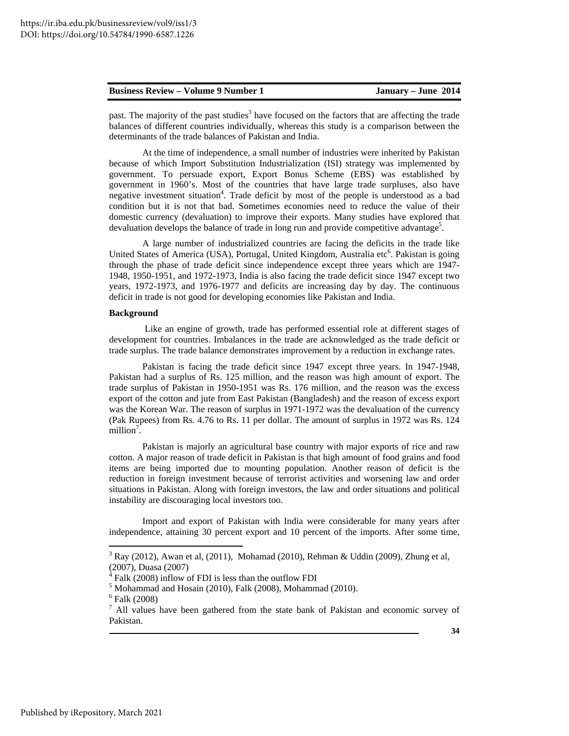past. The majority of the past studies<sup>3</sup> have focused on the factors that are affecting the trade balances of different countries individually, whereas this study is a comparison between the determinants of the trade balances of Pakistan and India.

At the time of independence, a small number of industries were inherited by Pakistan because of which Import Substitution Industrialization (ISI) strategy was implemented by government. To persuade export, Export Bonus Scheme (EBS) was established by government in 1960's. Most of the countries that have large trade surpluses, also have negative investment situation<sup>4</sup>. Trade deficit by most of the people is understood as a bad condition but it is not that bad. Sometimes economies need to reduce the value of their domestic currency (devaluation) to improve their exports. Many studies have explored that devaluation develops the balance of trade in long run and provide competitive advantage<sup>5</sup>.

A large number of industrialized countries are facing the deficits in the trade like United States of America (USA), Portugal, United Kingdom, Australia etc<sup>6</sup>. Pakistan is going through the phase of trade deficit since independence except three years which are 1947- 1948, 1950-1951, and 1972-1973, India is also facing the trade deficit since 1947 except two years, 1972-1973, and 1976-1977 and deficits are increasing day by day. The continuous deficit in trade is not good for developing economies like Pakistan and India.

#### **Background**

 Like an engine of growth, trade has performed essential role at different stages of development for countries. Imbalances in the trade are acknowledged as the trade deficit or trade surplus. The trade balance demonstrates improvement by a reduction in exchange rates.

Pakistan is facing the trade deficit since 1947 except three years. In 1947-1948, Pakistan had a surplus of Rs. 125 million, and the reason was high amount of export. The trade surplus of Pakistan in 1950-1951 was Rs. 176 million, and the reason was the excess export of the cotton and jute from East Pakistan (Bangladesh) and the reason of excess export was the Korean War. The reason of surplus in 1971-1972 was the devaluation of the currency (Pak Rupees) from Rs. 4.76 to Rs. 11 per dollar. The amount of surplus in 1972 was Rs. 124 million<sup>7</sup>.

Pakistan is majorly an agricultural base country with major exports of rice and raw cotton. A major reason of trade deficit in Pakistan is that high amount of food grains and food items are being imported due to mounting population. Another reason of deficit is the reduction in foreign investment because of terrorist activities and worsening law and order situations in Pakistan. Along with foreign investors, the law and order situations and political instability are discouraging local investors too.

Import and export of Pakistan with India were considerable for many years after independence, attaining 30 percent export and 10 percent of the imports. After some time,

 $3$  Ray (2012), Awan et al, (2011), Mohamad (2010), Rehman & Uddin (2009), Zhung et al, (2007), Duasa (2007)

<sup>4</sup> Falk (2008) inflow of FDI is less than the outflow FDI

 $<sup>5</sup>$  Mohammad and Hosain (2010), Falk (2008), Mohammad (2010).</sup>

<sup>6</sup> Falk (2008)

 $<sup>7</sup>$  All values have been gathered from the state bank of Pakistan and economic survey of</sup> Pakistan.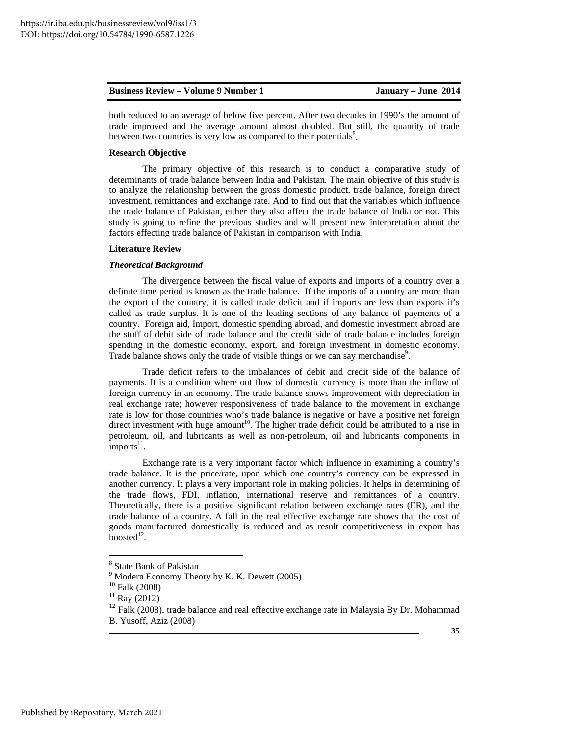| <b>Business Review – Volume 9 Number 1</b> | January – June 2014 |
|--------------------------------------------|---------------------|
|--------------------------------------------|---------------------|

both reduced to an average of below five percent. After two decades in 1990's the amount of trade improved and the average amount almost doubled. But still, the quantity of trade between two countries is very low as compared to their potentials $8$ .

# **Research Objective**

The primary objective of this research is to conduct a comparative study of determinants of trade balance between India and Pakistan. The main objective of this study is to analyze the relationship between the gross domestic product, trade balance, foreign direct investment, remittances and exchange rate. And to find out that the variables which influence the trade balance of Pakistan, either they also affect the trade balance of India or not. This study is going to refine the previous studies and will present new interpretation about the factors effecting trade balance of Pakistan in comparison with India.

# **Literature Review**

# *Theoretical Background*

The divergence between the fiscal value of exports and imports of a country over a definite time period is known as the trade balance. If the imports of a country are more than the export of the country, it is called trade deficit and if imports are less than exports it's called as trade surplus. It is one of the leading sections of any balance of payments of a country. Foreign aid, Import, domestic spending abroad, and domestic investment abroad are the stuff of debit side of trade balance and the credit side of trade balance includes foreign spending in the domestic economy, export, and foreign investment in domestic economy. Trade balance shows only the trade of visible things or we can say merchandise<sup>9</sup>.

Trade deficit refers to the imbalances of debit and credit side of the balance of payments. It is a condition where out flow of domestic currency is more than the inflow of foreign currency in an economy. The trade balance shows improvement with depreciation in real exchange rate; however responsiveness of trade balance to the movement in exchange rate is low for those countries who's trade balance is negative or have a positive net foreign direct investment with huge amount<sup>10</sup>. The higher trade deficit could be attributed to a rise in petroleum, oil, and lubricants as well as non-petroleum, oil and lubricants components in  $\frac{1}{2}$ imports<sup>11</sup>.

Exchange rate is a very important factor which influence in examining a country's trade balance. It is the price/rate, upon which one country's currency can be expressed in another currency. It plays a very important role in making policies. It helps in determining of the trade flows, FDI, inflation, international reserve and remittances of a country. Theoretically, there is a positive significant relation between exchange rates (ER), and the trade balance of a country. A fall in the real effective exchange rate shows that the cost of goods manufactured domestically is reduced and as result competitiveness in export has boosted $^{12}$ .

<sup>8</sup> State Bank of Pakistan

<sup>&</sup>lt;sup>9</sup> Modern Economy Theory by K. K. Dewett (2005)

<sup>10</sup> Falk (2008)

 $11$  Ray (2012)

 $12$  Falk (2008), trade balance and real effective exchange rate in Malaysia By Dr. Mohammad B. Yusoff, Aziz (2008)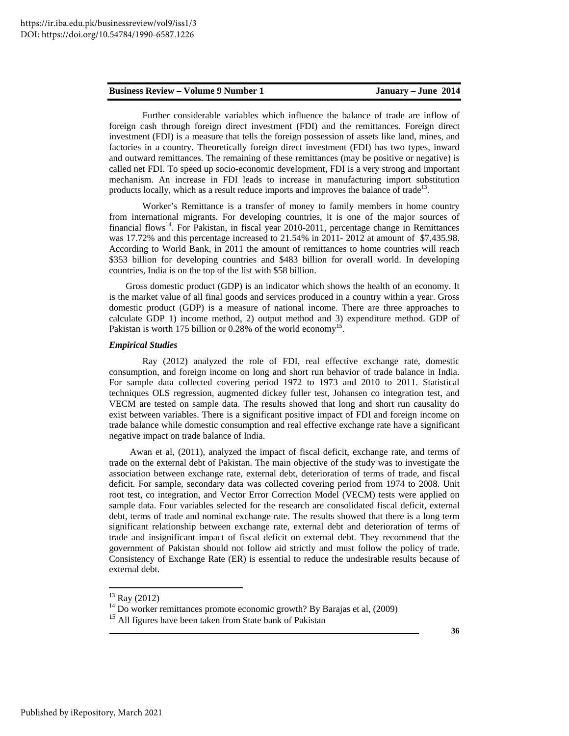Further considerable variables which influence the balance of trade are inflow of foreign cash through foreign direct investment (FDI) and the remittances. Foreign direct investment (FDI) is a measure that tells the foreign possession of assets like land, mines, and factories in a country. Theoretically foreign direct investment (FDI) has two types, inward and outward remittances. The remaining of these remittances (may be positive or negative) is called net FDI. To speed up socio-economic development, FDI is a very strong and important mechanism. An increase in FDI leads to increase in manufacturing import substitution products locally, which as a result reduce imports and improves the balance of trade<sup>13</sup>.

Worker's Remittance is a transfer of money to family members in home country from international migrants. For developing countries, it is one of the major sources of financial flows<sup>14</sup>. For Pakistan, in fiscal year 2010-2011, percentage change in Remittances was 17.72% and this percentage increased to 21.54% in 2011- 2012 at amount of \$7,435.98. According to World Bank, in 2011 the amount of remittances to home countries will reach \$353 billion for developing countries and \$483 billion for overall world. In developing countries, India is on the top of the list with \$58 billion.

Gross domestic product (GDP) is an indicator which shows the health of an economy. It is the market value of all final goods and services produced in a country within a year. Gross domestic product (GDP) is a measure of national income. There are three approaches to calculate GDP 1) income method, 2) output method and 3) expenditure method. GDP of Pakistan is worth 175 billion or 0.28% of the world economy<sup>15</sup>.

## *Empirical Studies*

Ray (2012) analyzed the role of FDI, real effective exchange rate, domestic consumption, and foreign income on long and short run behavior of trade balance in India. For sample data collected covering period 1972 to 1973 and 2010 to 2011. Statistical techniques OLS regression, augmented dickey fuller test, Johansen co integration test, and VECM are tested on sample data. The results showed that long and short run causality do exist between variables. There is a significant positive impact of FDI and foreign income on trade balance while domestic consumption and real effective exchange rate have a significant negative impact on trade balance of India.

Awan et al, (2011), analyzed the impact of fiscal deficit, exchange rate, and terms of trade on the external debt of Pakistan. The main objective of the study was to investigate the association between exchange rate, external debt, deterioration of terms of trade, and fiscal deficit. For sample, secondary data was collected covering period from 1974 to 2008. Unit root test, co integration, and Vector Error Correction Model (VECM) tests were applied on sample data. Four variables selected for the research are consolidated fiscal deficit, external debt, terms of trade and nominal exchange rate. The results showed that there is a long term significant relationship between exchange rate, external debt and deterioration of terms of trade and insignificant impact of fiscal deficit on external debt. They recommend that the government of Pakistan should not follow aid strictly and must follow the policy of trade. Consistency of Exchange Rate (ER) is essential to reduce the undesirable results because of external debt.

 $13$  Ray (2012)

<sup>&</sup>lt;sup>14</sup> Do worker remittances promote economic growth? By Barajas et al, (2009)

<sup>&</sup>lt;sup>15</sup> All figures have been taken from State bank of Pakistan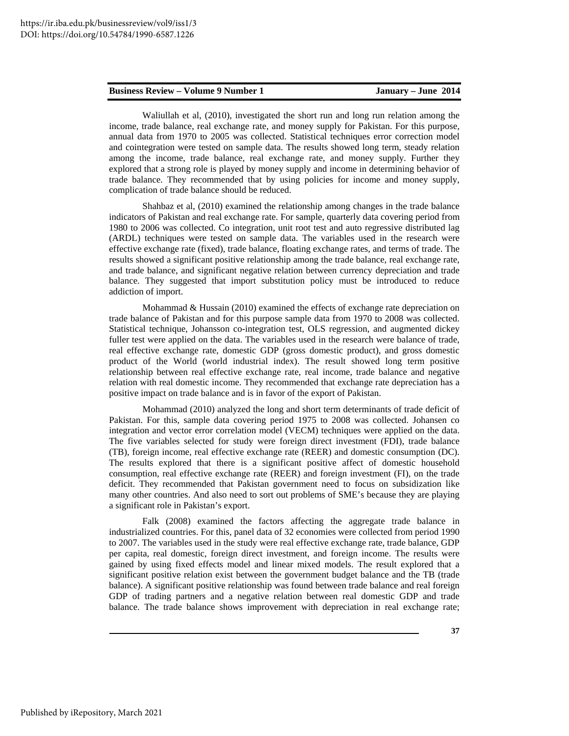Waliullah et al, (2010), investigated the short run and long run relation among the income, trade balance, real exchange rate, and money supply for Pakistan. For this purpose, annual data from 1970 to 2005 was collected. Statistical techniques error correction model and cointegration were tested on sample data. The results showed long term, steady relation among the income, trade balance, real exchange rate, and money supply. Further they explored that a strong role is played by money supply and income in determining behavior of trade balance. They recommended that by using policies for income and money supply, complication of trade balance should be reduced.

Shahbaz et al, (2010) examined the relationship among changes in the trade balance indicators of Pakistan and real exchange rate. For sample, quarterly data covering period from 1980 to 2006 was collected. Co integration, unit root test and auto regressive distributed lag (ARDL) techniques were tested on sample data. The variables used in the research were effective exchange rate (fixed), trade balance, floating exchange rates, and terms of trade. The results showed a significant positive relationship among the trade balance, real exchange rate, and trade balance, and significant negative relation between currency depreciation and trade balance. They suggested that import substitution policy must be introduced to reduce addiction of import.

Mohammad & Hussain (2010) examined the effects of exchange rate depreciation on trade balance of Pakistan and for this purpose sample data from 1970 to 2008 was collected. Statistical technique, Johansson co-integration test, OLS regression, and augmented dickey fuller test were applied on the data. The variables used in the research were balance of trade, real effective exchange rate, domestic GDP (gross domestic product), and gross domestic product of the World (world industrial index). The result showed long term positive relationship between real effective exchange rate, real income, trade balance and negative relation with real domestic income. They recommended that exchange rate depreciation has a positive impact on trade balance and is in favor of the export of Pakistan.

Mohammad (2010) analyzed the long and short term determinants of trade deficit of Pakistan. For this, sample data covering period 1975 to 2008 was collected. Johansen co integration and vector error correlation model (VECM) techniques were applied on the data. The five variables selected for study were foreign direct investment (FDI), trade balance (TB), foreign income, real effective exchange rate (REER) and domestic consumption (DC). The results explored that there is a significant positive affect of domestic household consumption, real effective exchange rate (REER) and foreign investment (FI), on the trade deficit. They recommended that Pakistan government need to focus on subsidization like many other countries. And also need to sort out problems of SME's because they are playing a significant role in Pakistan's export.

Falk (2008) examined the factors affecting the aggregate trade balance in industrialized countries. For this, panel data of 32 economies were collected from period 1990 to 2007. The variables used in the study were real effective exchange rate, trade balance, GDP per capita, real domestic, foreign direct investment, and foreign income. The results were gained by using fixed effects model and linear mixed models. The result explored that a significant positive relation exist between the government budget balance and the TB (trade balance). A significant positive relationship was found between trade balance and real foreign GDP of trading partners and a negative relation between real domestic GDP and trade balance. The trade balance shows improvement with depreciation in real exchange rate;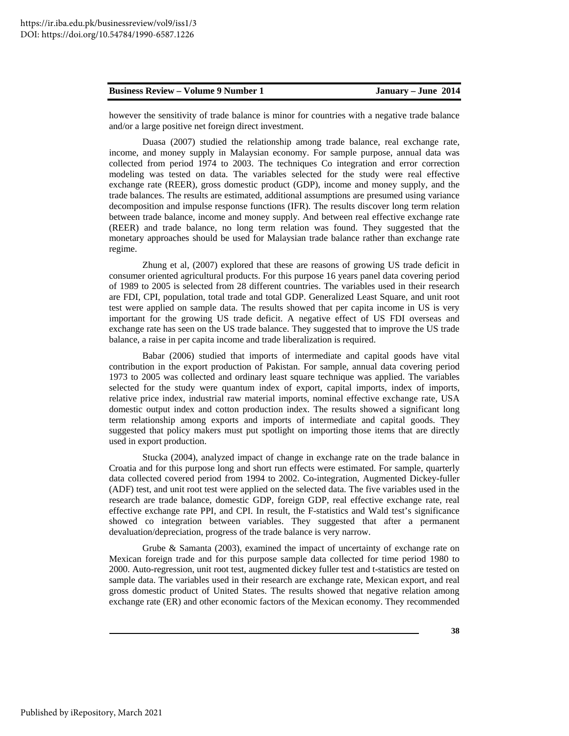however the sensitivity of trade balance is minor for countries with a negative trade balance and/or a large positive net foreign direct investment.

Duasa (2007) studied the relationship among trade balance, real exchange rate, income, and money supply in Malaysian economy. For sample purpose, annual data was collected from period 1974 to 2003. The techniques Co integration and error correction modeling was tested on data. The variables selected for the study were real effective exchange rate (REER), gross domestic product (GDP), income and money supply, and the trade balances. The results are estimated, additional assumptions are presumed using variance decomposition and impulse response functions (IFR). The results discover long term relation between trade balance, income and money supply. And between real effective exchange rate (REER) and trade balance, no long term relation was found. They suggested that the monetary approaches should be used for Malaysian trade balance rather than exchange rate regime.

Zhung et al, (2007) explored that these are reasons of growing US trade deficit in consumer oriented agricultural products. For this purpose 16 years panel data covering period of 1989 to 2005 is selected from 28 different countries. The variables used in their research are FDI, CPI, population, total trade and total GDP. Generalized Least Square, and unit root test were applied on sample data. The results showed that per capita income in US is very important for the growing US trade deficit. A negative effect of US FDI overseas and exchange rate has seen on the US trade balance. They suggested that to improve the US trade balance, a raise in per capita income and trade liberalization is required.

Babar (2006) studied that imports of intermediate and capital goods have vital contribution in the export production of Pakistan. For sample, annual data covering period 1973 to 2005 was collected and ordinary least square technique was applied. The variables selected for the study were quantum index of export, capital imports, index of imports, relative price index, industrial raw material imports, nominal effective exchange rate, USA domestic output index and cotton production index. The results showed a significant long term relationship among exports and imports of intermediate and capital goods. They suggested that policy makers must put spotlight on importing those items that are directly used in export production.

Stucka (2004), analyzed impact of change in exchange rate on the trade balance in Croatia and for this purpose long and short run effects were estimated. For sample, quarterly data collected covered period from 1994 to 2002. Co-integration, Augmented Dickey-fuller (ADF) test, and unit root test were applied on the selected data. The five variables used in the research are trade balance, domestic GDP, foreign GDP, real effective exchange rate, real effective exchange rate PPI, and CPI. In result, the F-statistics and Wald test's significance showed co integration between variables. They suggested that after a permanent devaluation/depreciation, progress of the trade balance is very narrow.

Grube & Samanta (2003), examined the impact of uncertainty of exchange rate on Mexican foreign trade and for this purpose sample data collected for time period 1980 to 2000. Auto-regression, unit root test, augmented dickey fuller test and t-statistics are tested on sample data. The variables used in their research are exchange rate, Mexican export, and real gross domestic product of United States. The results showed that negative relation among exchange rate (ER) and other economic factors of the Mexican economy. They recommended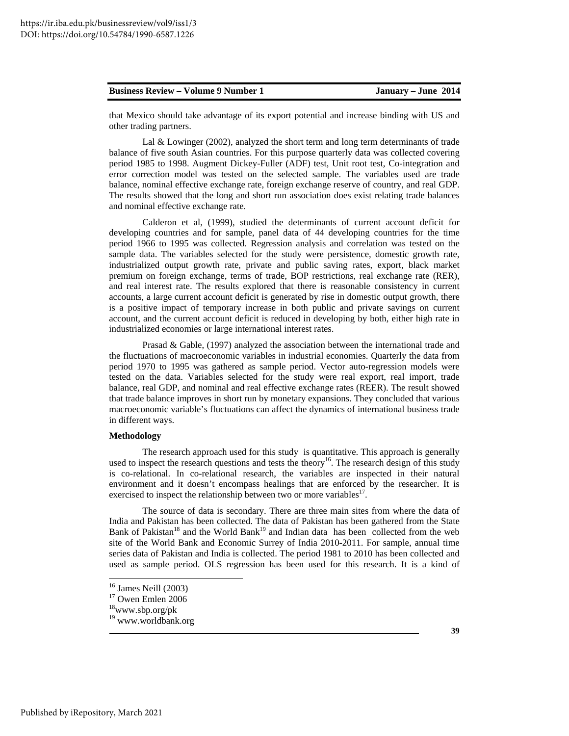that Mexico should take advantage of its export potential and increase binding with US and other trading partners.

Lal & Lowinger (2002), analyzed the short term and long term determinants of trade balance of five south Asian countries. For this purpose quarterly data was collected covering period 1985 to 1998. Augment Dickey-Fuller (ADF) test, Unit root test, Co-integration and error correction model was tested on the selected sample. The variables used are trade balance, nominal effective exchange rate, foreign exchange reserve of country, and real GDP. The results showed that the long and short run association does exist relating trade balances and nominal effective exchange rate.

Calderon et al, (1999), studied the determinants of current account deficit for developing countries and for sample, panel data of 44 developing countries for the time period 1966 to 1995 was collected. Regression analysis and correlation was tested on the sample data. The variables selected for the study were persistence, domestic growth rate, industrialized output growth rate, private and public saving rates, export, black market premium on foreign exchange, terms of trade, BOP restrictions, real exchange rate (RER), and real interest rate. The results explored that there is reasonable consistency in current accounts, a large current account deficit is generated by rise in domestic output growth, there is a positive impact of temporary increase in both public and private savings on current account, and the current account deficit is reduced in developing by both, either high rate in industrialized economies or large international interest rates.

Prasad & Gable, (1997) analyzed the association between the international trade and the fluctuations of macroeconomic variables in industrial economies. Quarterly the data from period 1970 to 1995 was gathered as sample period. Vector auto-regression models were tested on the data. Variables selected for the study were real export, real import, trade balance, real GDP, and nominal and real effective exchange rates (REER). The result showed that trade balance improves in short run by monetary expansions. They concluded that various macroeconomic variable's fluctuations can affect the dynamics of international business trade in different ways.

#### **Methodology**

The research approach used for this study is quantitative. This approach is generally used to inspect the research questions and tests the theory<sup>16</sup>. The research design of this study is co-relational. In co-relational research, the variables are inspected in their natural environment and it doesn't encompass healings that are enforced by the researcher. It is exercised to inspect the relationship between two or more variables<sup>17</sup>.

The source of data is secondary. There are three main sites from where the data of India and Pakistan has been collected. The data of Pakistan has been gathered from the State Bank of Pakistan<sup>18</sup> and the World Bank<sup>19</sup> and Indian data has been collected from the web site of the World Bank and Economic Surrey of India 2010-2011. For sample, annual time series data of Pakistan and India is collected. The period 1981 to 2010 has been collected and used as sample period. OLS regression has been used for this research. It is a kind of

**.** 

Published by iRepository, March 2021

<sup>16</sup> James Neill (2003)

<sup>&</sup>lt;sup>17</sup> Owen Emlen 2006

<sup>18</sup>www.sbp.org/pk

<sup>19</sup> www.worldbank.org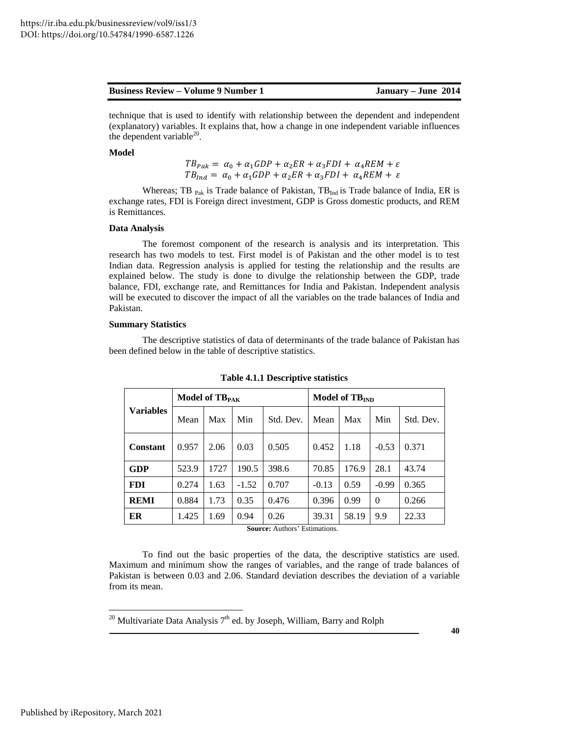technique that is used to identify with relationship between the dependent and independent (explanatory) variables. It explains that, how a change in one independent variable influences the dependent variable $^{20}$ .

# **Model**

$$
TB_{Pak} = \alpha_0 + \alpha_1 GDP + \alpha_2 ER + \alpha_3 FDI + \alpha_4 REM + \varepsilon
$$
  
\n
$$
TB_{Ind} = \alpha_0 + \alpha_1 GDP + \alpha_2 ER + \alpha_3 FDI + \alpha_4 REM + \varepsilon
$$

Whereas; TB <sub>Pak</sub> is Trade balance of Pakistan, TB<sub>Ind</sub> is Trade balance of India, ER is exchange rates, FDI is Foreign direct investment, GDP is Gross domestic products, and REM is Remittances.

# **Data Analysis**

The foremost component of the research is analysis and its interpretation. This research has two models to test. First model is of Pakistan and the other model is to test Indian data. Regression analysis is applied for testing the relationship and the results are explained below. The study is done to divulge the relationship between the GDP, trade balance, FDI, exchange rate, and Remittances for India and Pakistan. Independent analysis will be executed to discover the impact of all the variables on the trade balances of India and Pakistan.

# **Summary Statistics**

The descriptive statistics of data of determinants of the trade balance of Pakistan has been defined below in the table of descriptive statistics.

|                  | Model of TB <sub>PAK</sub> |      |         |           | Model of TB <sub>IND</sub> |       |          |           |
|------------------|----------------------------|------|---------|-----------|----------------------------|-------|----------|-----------|
| <b>Variables</b> | Mean                       | Max  | Min     | Std. Dev. | Mean                       | Max   | Min      | Std. Dev. |
| <b>Constant</b>  | 0.957                      | 2.06 | 0.03    | 0.505     | 0.452                      | 1.18  | $-0.53$  | 0.371     |
| GDP              | 523.9                      | 1727 | 190.5   | 398.6     | 70.85                      | 176.9 | 28.1     | 43.74     |
| <b>FDI</b>       | 0.274                      | 1.63 | $-1.52$ | 0.707     | $-0.13$                    | 0.59  | $-0.99$  | 0.365     |
| <b>REMI</b>      | 0.884                      | 1.73 | 0.35    | 0.476     | 0.396                      | 0.99  | $\Omega$ | 0.266     |
| ER               | 1.425                      | 1.69 | 0.94    | 0.26      | 39.31                      | 58.19 | 9.9      | 22.33     |

**Table 4.1.1 Descriptive statistics** 

**Source:** Authors' Estimations.

To find out the basic properties of the data, the descriptive statistics are used. Maximum and minimum show the ranges of variables, and the range of trade balances of Pakistan is between 0.03 and 2.06. Standard deviation describes the deviation of a variable from its mean.

<sup>20</sup> Multivariate Data Analysis  $7<sup>th</sup>$  ed. by Joseph, William, Barry and Rolph

**40**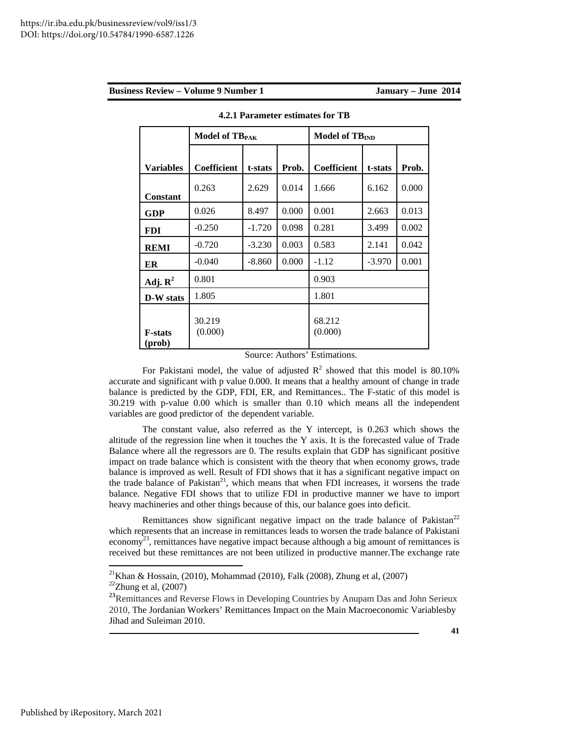|  | <b>Business Review – Volume 9 Number 1</b> |
|--|--------------------------------------------|
|  |                                            |

|                          | Model of TB <sub>PAK</sub> |          |       | Model of TB <sub>IND</sub> |          |       |  |
|--------------------------|----------------------------|----------|-------|----------------------------|----------|-------|--|
|                          |                            |          |       |                            |          |       |  |
| <b>Variables</b>         | <b>Coefficient</b>         | t-stats  | Prob. | <b>Coefficient</b>         | t-stats  | Prob. |  |
| <b>Constant</b>          | 0.263                      | 2.629    | 0.014 | 1.666                      | 6.162    | 0.000 |  |
| <b>GDP</b>               | 0.026                      | 8.497    | 0.000 | 0.001                      | 2.663    | 0.013 |  |
| <b>FDI</b>               | $-0.250$                   | $-1.720$ | 0.098 | 0.281                      | 3.499    | 0.002 |  |
| <b>REMI</b>              | $-0.720$                   | $-3.230$ | 0.003 | 0.583                      | 2.141    | 0.042 |  |
| ER                       | $-0.040$                   | -8.860   | 0.000 | $-1.12$                    | $-3.970$ | 0.001 |  |
| Adj. $\mathbb{R}^2$      | 0.801                      |          |       | 0.903                      |          |       |  |
| <b>D-W</b> stats         | 1.805                      |          |       | 1.801                      |          |       |  |
| <b>F-stats</b><br>(prob) | 30.219<br>(0.000)          |          |       | 68.212<br>(0.000)          |          |       |  |

**4.2.1 Parameter estimates for TB** 

Source: Authors' Estimations.

For Pakistani model, the value of adjusted  $R^2$  showed that this model is 80.10% accurate and significant with p value 0.000. It means that a healthy amount of change in trade balance is predicted by the GDP, FDI, ER, and Remittances.. The F-static of this model is 30.219 with p-value 0.00 which is smaller than 0.10 which means all the independent variables are good predictor of the dependent variable.

The constant value, also referred as the Y intercept, is 0.263 which shows the altitude of the regression line when it touches the Y axis. It is the forecasted value of Trade Balance where all the regressors are 0. The results explain that GDP has significant positive impact on trade balance which is consistent with the theory that when economy grows, trade balance is improved as well. Result of FDI shows that it has a significant negative impact on the trade balance of Pakistan<sup>21</sup>, which means that when FDI increases, it worsens the trade balance. Negative FDI shows that to utilize FDI in productive manner we have to import heavy machineries and other things because of this, our balance goes into deficit.

Remittances show significant negative impact on the trade balance of Pakistan<sup>22</sup> which represents that an increase in remittances leads to worsen the trade balance of Pakistani economy<sup>23</sup>, remittances have negative impact because although a big amount of remittances is received but these remittances are not been utilized in productive manner.The exchange rate

<sup>&</sup>lt;sup>21</sup>Khan & Hossain, (2010), Mohammad (2010), Falk (2008), Zhung et al, (2007)  $22$ Zhung et al,  $(2007)$ 

<sup>&</sup>lt;sup>23</sup>Remittances and Reverse Flows in Developing Countries by Anupam Das and John Serieux 2010, The Jordanian Workers' Remittances Impact on the Main Macroeconomic Variablesby Jihad and Suleiman 2010.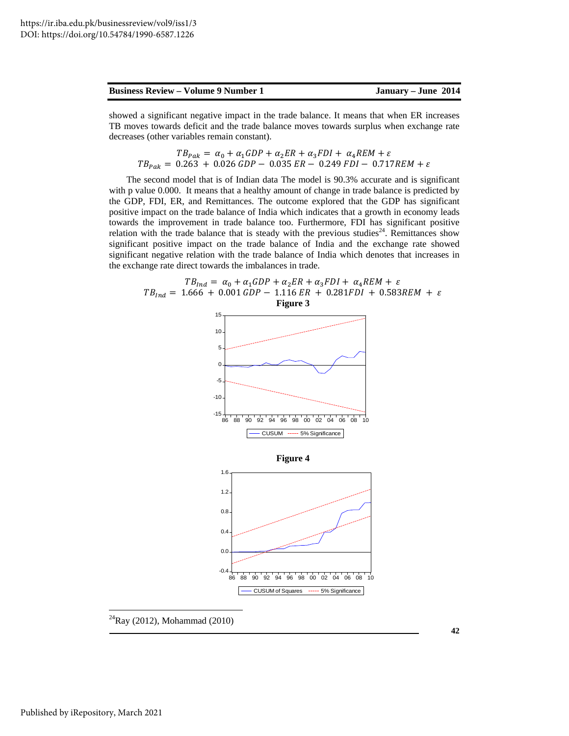showed a significant negative impact in the trade balance. It means that when ER increases TB moves towards deficit and the trade balance moves towards surplus when exchange rate decreases (other variables remain constant).

$$
TB_{Pak} = \alpha_0 + \alpha_1 GDP + \alpha_2 ER + \alpha_3 FDI + \alpha_4 REM + \varepsilon
$$
  

$$
TB_{Pak} = 0.263 + 0.026 GDP - 0.035 ER - 0.249 FDI - 0.717 REM + \varepsilon
$$

The second model that is of Indian data The model is 90.3% accurate and is significant with p value 0.000. It means that a healthy amount of change in trade balance is predicted by the GDP, FDI, ER, and Remittances. The outcome explored that the GDP has significant positive impact on the trade balance of India which indicates that a growth in economy leads towards the improvement in trade balance too. Furthermore, FDI has significant positive relation with the trade balance that is steady with the previous studies<sup>24</sup>. Remittances show significant positive impact on the trade balance of India and the exchange rate showed significant negative relation with the trade balance of India which denotes that increases in the exchange rate direct towards the imbalances in trade.



 $^{24}$ Ray (2012), Mohammad (2010)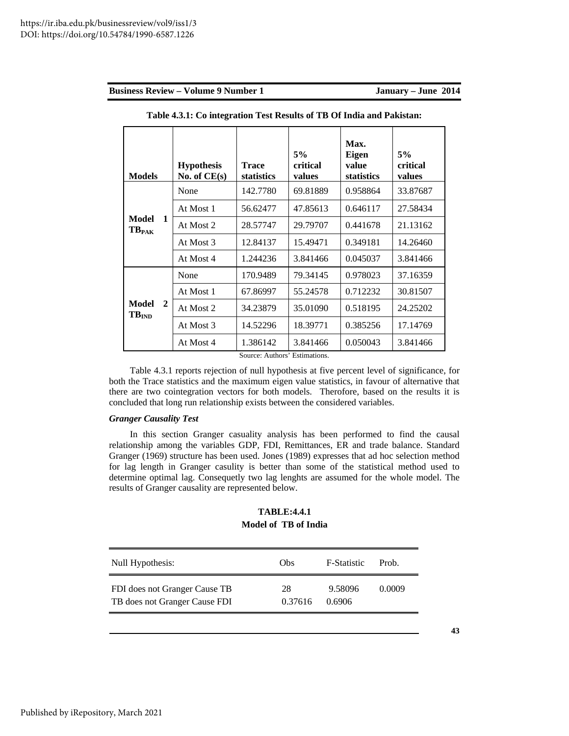| <b>Models</b>                     |              | <b>Hypothesis</b><br>No. of $CE(s)$ | <b>Trace</b><br>statistics | 5%<br>critical<br>values | Max.<br><b>Eigen</b><br>value<br>statistics | 5%<br>critical<br>values |
|-----------------------------------|--------------|-------------------------------------|----------------------------|--------------------------|---------------------------------------------|--------------------------|
|                                   |              | None                                | 142.7780                   | 69.81889                 | 0.958864                                    | 33.87687                 |
|                                   |              | At Most 1                           | 56.62477                   | 47.85613                 | 0.646117                                    | 27.58434                 |
| <b>Model</b><br>TB <sub>PAK</sub> | 1            | At Most 2                           | 28.57747                   | 29.79707                 | 0.441678                                    | 21.13162                 |
|                                   |              | At Most 3                           | 12.84137                   | 15.49471                 | 0.349181                                    | 14.26460                 |
|                                   |              | At Most 4                           | 1.244236                   | 3.841466                 | 0.045037                                    | 3.841466                 |
|                                   |              | None                                | 170.9489                   | 79.34145                 | 0.978023                                    | 37.16359                 |
|                                   |              | At Most 1                           | 67.86997                   | 55.24578                 | 0.712232                                    | 30.81507                 |
| <b>Model</b><br>TB <sub>IND</sub> | $\mathbf{2}$ | At Most 2                           | 34.23879                   | 35.01090                 | 0.518195                                    | 24.25202                 |
|                                   |              | At Most 3                           | 14.52296                   | 18.39771                 | 0.385256                                    | 17.14769                 |
|                                   |              | At Most 4                           | 1.386142<br>$\sim$         | 3.841466<br>$\cdots$     | 0.050043                                    | 3.841466                 |

**Table 4.3.1: Co integration Test Results of TB Of India and Pakistan:** 

Source: Authors' Estimations.

Table 4.3.1 reports rejection of null hypothesis at five percent level of significance, for both the Trace statistics and the maximum eigen value statistics, in favour of alternative that there are two cointegration vectors for both models. Therofore, based on the results it is concluded that long run relationship exists between the considered variables.

# *Granger Causality Test*

In this section Granger casuality analysis has been performed to find the causal relationship among the variables GDP, FDI, Remittances, ER and trade balance. Standard Granger (1969) structure has been used. Jones (1989) expresses that ad hoc selection method for lag length in Granger casulity is better than some of the statistical method used to determine optimal lag. Consequetly two lag lenghts are assumed for the whole model. The results of Granger causality are represented below.

# **TABLE:4.4.1 Model of TB of India**

| Null Hypothesis:              | Obs     | F-Statistic | Prob   |
|-------------------------------|---------|-------------|--------|
| FDI does not Granger Cause TB | 28      | 9.58096     | 0.0009 |
| TB does not Granger Cause FDI | 0.37616 | 0.6906      |        |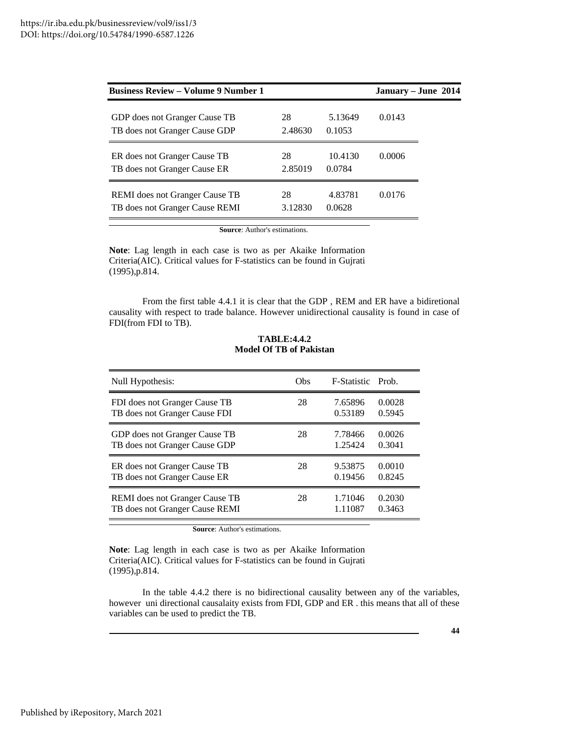| <b>Business Review – Volume 9 Number 1</b> |         |         | January - June 2014 |
|--------------------------------------------|---------|---------|---------------------|
| GDP does not Granger Cause TB              | 28      | 5.13649 | 0.0143              |
| TB does not Granger Cause GDP              | 2.48630 | 0.1053  |                     |
| ER does not Granger Cause TB               | 28      | 10.4130 | 0.0006              |
| TB does not Granger Cause ER               | 2.85019 | 0.0784  |                     |
| <b>REMI</b> does not Granger Cause TB      | 28      | 4.83781 | 0.0176              |
| TB does not Granger Cause REMI             | 3.12830 | 0.0628  |                     |

**Source**: Author's estimations.

**Note**: Lag length in each case is two as per Akaike Information Criteria(AIC). Critical values for F-statistics can be found in Gujrati (1995),p.814.

From the first table 4.4.1 it is clear that the GDP , REM and ER have a bidiretional causality with respect to trade balance. However unidirectional causality is found in case of FDI(from FDI to TB).

| Null Hypothesis:               | Obs | <b>F-Statistic Prob.</b> |        |
|--------------------------------|-----|--------------------------|--------|
| FDI does not Granger Cause TB  | 28  | 7.65896                  | 0.0028 |
| TB does not Granger Cause FDI  |     | 0.53189                  | 0.5945 |
| GDP does not Granger Cause TB  | 28  | 7.78466                  | 0.0026 |
| TB does not Granger Cause GDP  |     | 1.25424                  | 0.3041 |
| ER does not Granger Cause TB   | 28  | 9.53875                  | 0.0010 |
| TB does not Granger Cause ER   |     | 0.19456                  | 0.8245 |
| REMI does not Granger Cause TB | 28  | 1.71046                  | 0.2030 |
| TB does not Granger Cause REMI |     | 1.11087                  | 0.3463 |

**TABLE:4.4.2 Model Of TB of Pakistan** 

**Source**: Author's estimations.

**Note**: Lag length in each case is two as per Akaike Information Criteria(AIC). Critical values for F-statistics can be found in Gujrati (1995),p.814.

In the table 4.4.2 there is no bidirectional causality between any of the variables, however uni directional causalaity exists from FDI, GDP and ER . this means that all of these variables can be used to predict the TB.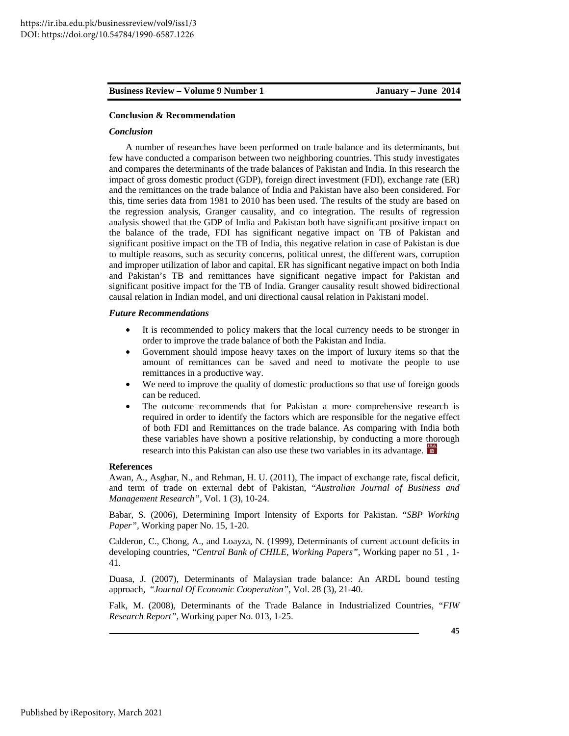# **Conclusion & Recommendation**

# *Conclusion*

A number of researches have been performed on trade balance and its determinants, but few have conducted a comparison between two neighboring countries. This study investigates and compares the determinants of the trade balances of Pakistan and India. In this research the impact of gross domestic product (GDP), foreign direct investment (FDI), exchange rate (ER) and the remittances on the trade balance of India and Pakistan have also been considered. For this, time series data from 1981 to 2010 has been used. The results of the study are based on the regression analysis, Granger causality, and co integration. The results of regression analysis showed that the GDP of India and Pakistan both have significant positive impact on the balance of the trade, FDI has significant negative impact on TB of Pakistan and significant positive impact on the TB of India, this negative relation in case of Pakistan is due to multiple reasons, such as security concerns, political unrest, the different wars, corruption and improper utilization of labor and capital. ER has significant negative impact on both India and Pakistan's TB and remittances have significant negative impact for Pakistan and significant positive impact for the TB of India. Granger causality result showed bidirectional causal relation in Indian model, and uni directional causal relation in Pakistani model.

#### *Future Recommendations*

- It is recommended to policy makers that the local currency needs to be stronger in order to improve the trade balance of both the Pakistan and India.
- Government should impose heavy taxes on the import of luxury items so that the amount of remittances can be saved and need to motivate the people to use remittances in a productive way.
- We need to improve the quality of domestic productions so that use of foreign goods can be reduced.
- The outcome recommends that for Pakistan a more comprehensive research is required in order to identify the factors which are responsible for the negative effect of both FDI and Remittances on the trade balance. As comparing with India both these variables have shown a positive relationship, by conducting a more thorough research into this Pakistan can also use these two variables in its advantage.

# **References**

Awan, A., Asghar, N., and Rehman, H. U. (2011), The impact of exchange rate, fiscal deficit, and term of trade on external debt of Pakistan, "*Australian Journal of Business and Management Research",* Vol. 1 (3), 10-24.

Babar, S. (2006), Determining Import Intensity of Exports for Pakistan. "*SBP Working Paper",* Working paper No. 15, 1-20.

Calderon, C., Chong, A., and Loayza, N. (1999), Determinants of current account deficits in developing countries, "*Central Bank of CHILE, Working Papers",* Working paper no 51 , 1- 41.

Duasa, J. (2007), Determinants of Malaysian trade balance: An ARDL bound testing approach, "*Journal Of Economic Cooperation",* Vol. 28 (3), 21-40.

Falk, M. (2008), Determinants of the Trade Balance in Industrialized Countries, "*FIW Research Report",* Working paper No. 013, 1-25.